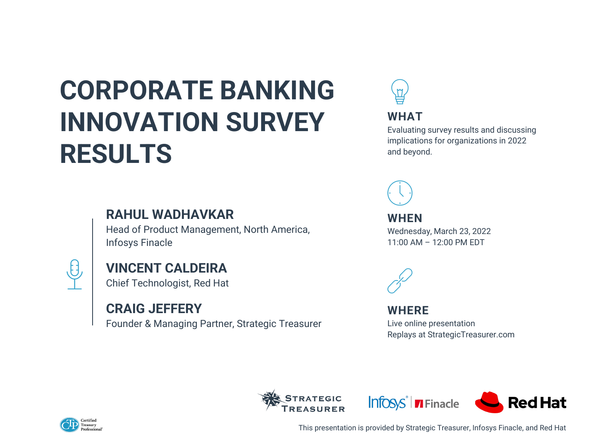## **CORPORATE BANKING INNOVATION SURVEY RESULTS**

### **RAHUL WADHAVKAR**

Head of Product Management, North America, Infosys Finacle



### **VINCENT CALDEIRA**

Chief Technologist, Red Hat

### **CRAIG JEFFERY**

Founder & Managing Partner, Strategic Treasurer



This presentation is provided by Strategic Treasurer, Infosys Finacle, and Red Hat





#### **WHAT**

Evaluating survey results and discussing implications for organizations in 2022 and beyond.



**WHEN** Wednesday, March 23, 2022 11:00 AM – 12:00 PM EDT



### **WHERE**

Live online presentation Replays at StrategicTreasurer.com

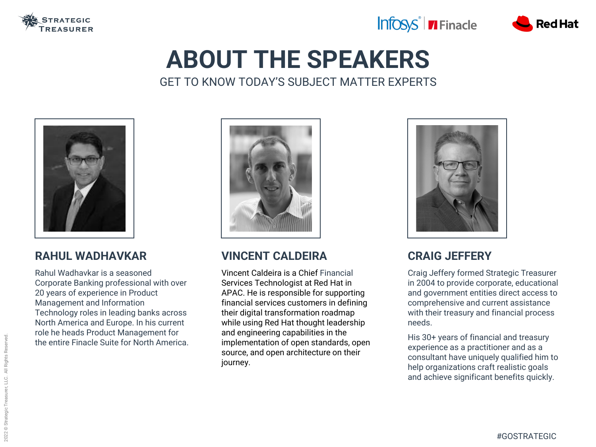

## **ABOUT THE SPEAKERS** GET TO KNOW TODAY'S SUBJECT MATTER EXPERTS



### **CRAIG JEFFERY**

Craig Jeffery formed Strategic Treasurer in 2004 to provide corporate, educational and government entities direct access to comprehensive and current assistance with their treasury and financial process needs.

His 30+ years of financial and treasury experience as a practitioner and as a consultant have uniquely qualified him to help organizations craft realistic goals and achieve significant benefits quickly.

### **RAHUL WADHAVKAR**

Rahul Wadhavkar is a seasoned Corporate Banking professional with over 20 years of experience in Product Management and Information Technology roles in leading banks across North America and Europe. In his current role he heads Product Management for the entire Finacle Suite for North America.



### **VINCENT CALDEIRA**

Vincent Caldeira is a Chief Financial Services Technologist at Red Hat in APAC. He is responsible for supporting financial services customers in defining their digital transformation roadmap while using Red Hat thought leadership and engineering capabilities in the implementation of open standards, open source, and open architecture on their journey.





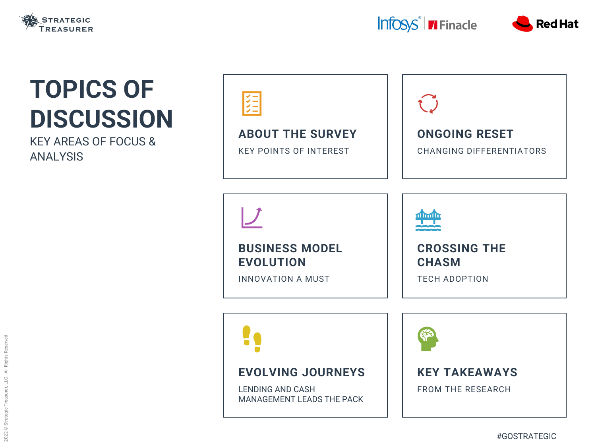### **ABOUT THE SURVEY**

KEY POINTS OF INTEREST



### **BUSINESS MODEL EVOLUTION**

INNOVATION A MUST





### **EVOLVING JOURNEYS**

LENDING AND CASH MANAGEMENT LEADS THE PACK







## **TOPICS OF DISCUSSION**

KEY AREAS OF FOCUS & ANALYSIS

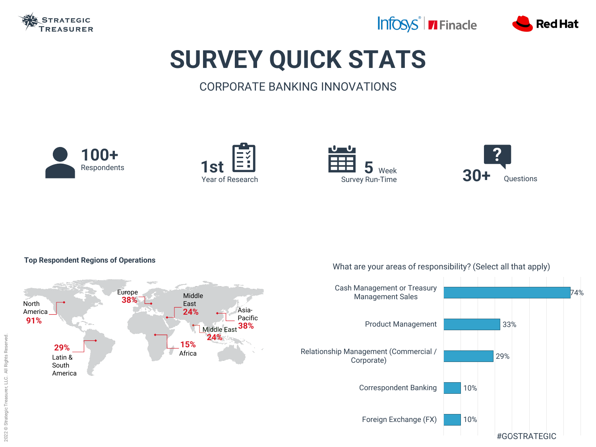

# **SURVEY QUICK STATS**

### CORPORATE BANKING INNOVATIONS







**5** Week



#### **Top Respondent Regions of Operations**

Europe Middle **38%** North East Asia-**24%** America Pacific **91% 38%** Middle East **24% 15% 29%** Africa Latin & South America 







#### What are your areas of responsibility? (Select all that apply)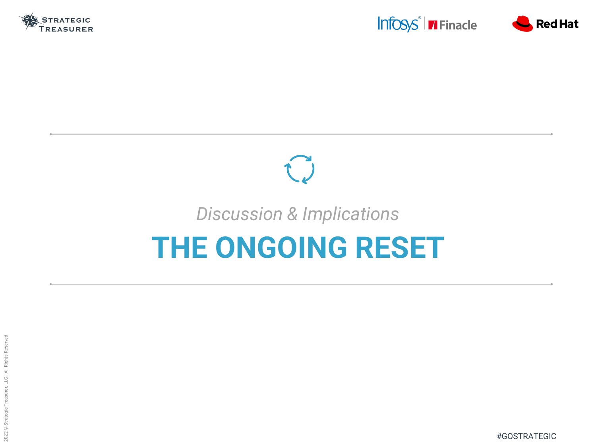





# Û *Discussion & Implications* **THE ONGOING RESET**

#GOSTRATEGIC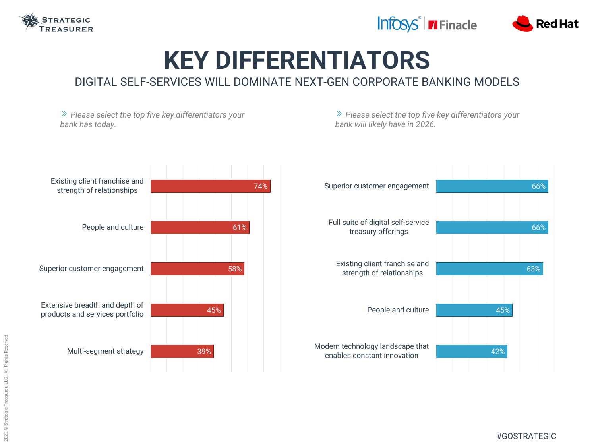

### **KEY DIFFERENTIATORS** DIGITAL SELF-SERVICES WILL DOMINATE NEXT-GEN CORPORATE BANKING MODELS

*Please select the top five key differentiators your bank has today. Please select the top five key differentiators your bank will likely have in 2026.* 74% 61% 58% 45% 39% Existing client franchise and strength of relationships People and culture Superior customer engagement Extensive breadth and depth of products and services portfolio Multi-segment strategy 45% 42% Superior customer engagement Full suite of digital self-service treasury offerings Existing client franchise and strength of relationships People and culture Modern technology landscape that enables constant innovation





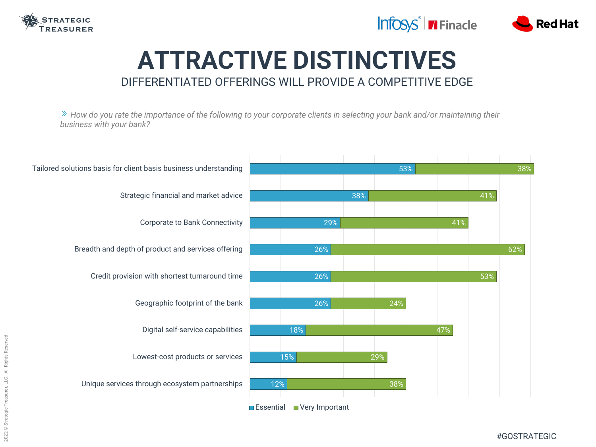

### **ATTRACTIVE DISTINCTIVES** DIFFERENTIATED OFFERINGS WILL PROVIDE A COMPETITIVE EDGE







*How do you rate the importance of the following to your corporate clients in selecting your bank and/or maintaining their business with your bank?*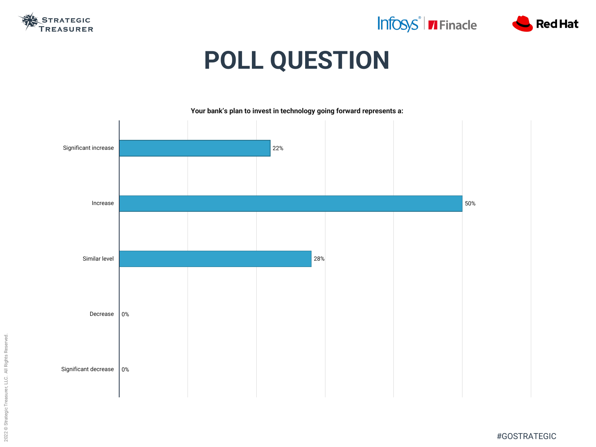2022 © Strategic Treasurer, LLC. All Rights Reserved. 2022 © Strategic Treasurer, LLC. All Rights Reserved.

## Infosys<sup>®</sup> Finacle



#GOSTRATEGIC



## **POLL QUESTION**

|  | 50% |
|--|-----|
|  |     |
|  |     |
|  |     |
|  |     |



**Your bank's plan to invest in technology going forward represents a:**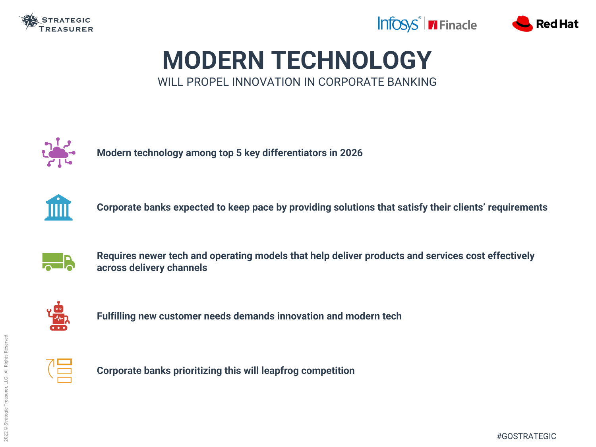

## **MODERN TECHNOLOGY** WILL PROPEL INNOVATION IN CORPORATE BANKING



**Modern technology among top 5 key differentiators in 2026**



**Corporate banks expected to keep pace by providing solutions that satisfy their clients' requirements**



**Requires newer tech and operating models that help deliver products and services cost effectively across delivery channels**



**Fulfilling new customer needs demands innovation and modern tech**



**Corporate banks prioritizing this will leapfrog competition**



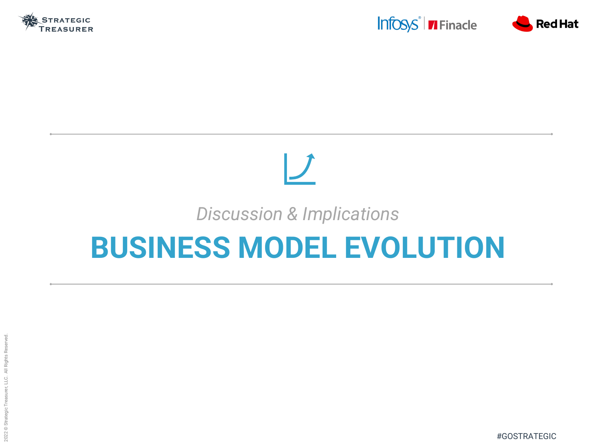





# $\boldsymbol{U}$ *Discussion & Implications* **BUSINESS MODEL EVOLUTION**

#GOSTRATEGIC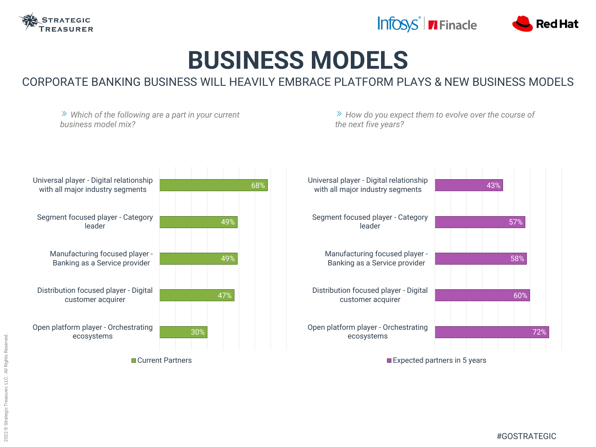

### **BUSINESS MODELS** CORPORATE BANKING BUSINESS WILL HEAVILY EMBRACE PLATFORM PLAYS & NEW BUSINESS MODELS

*Which of the following are a part in your current business model mix? How do you expect them to evolve over the course of the next five years?* 68% 49% 49% 47% 30% Universal player - Digital relationship with all major industry segments Segment focused player - Category leader Manufacturing focused player - Banking as a Service provider Distribution focused player - Digital customer acquirer Open platform player - Orchestrating ecosystems 43% 57% 58% 60% Universal player - Digital relationship with all major industry segments Segment focused player - Category leader Manufacturing focused player - Banking as a Service provider Distribution focused player - Digital customer acquirer Open platform player - Orchestrating ecosystems

**Current Partners** 







Expected partners in 5 years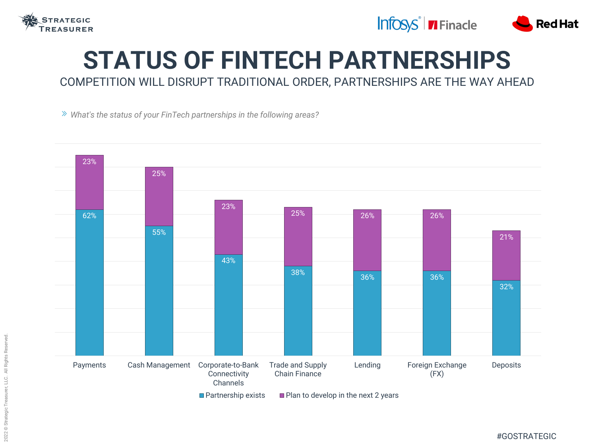

### **STATUS OF FINTECH PARTNERSHIPS** COMPETITION WILL DISRUPT TRADITIONAL ORDER, PARTNERSHIPS ARE THE WAY AHEAD

*What's the status of your FinTech partnerships in the following areas?*





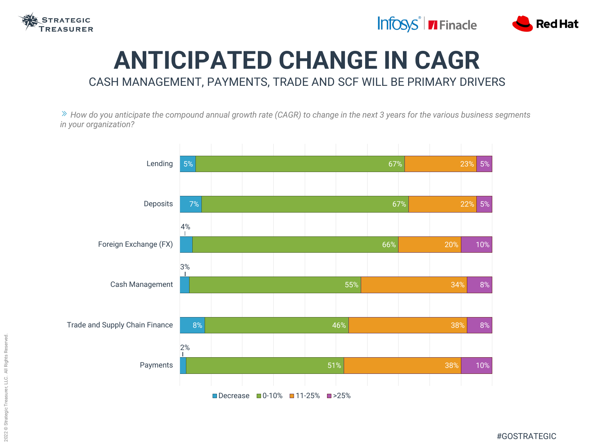







## **ANTICIPATED CHANGE IN CAGR** CASH MANAGEMENT, PAYMENTS, TRADE AND SCF WILL BE PRIMARY DRIVERS

*How do you anticipate the compound annual growth rate (CAGR) to change in the next 3 years for the various business segments in your organization?*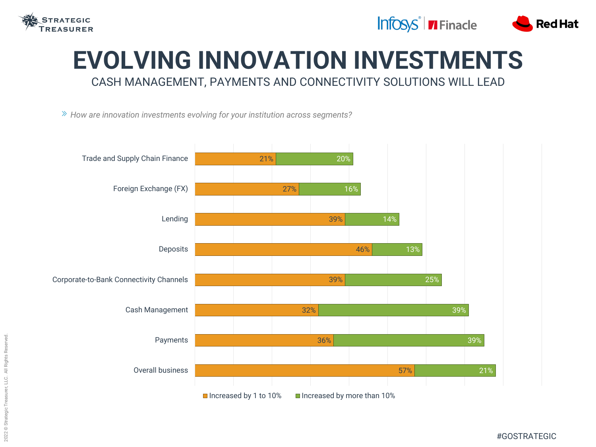

### **EVOLVING INNOVATION INVESTMENTS** CASH MANAGEMENT, PAYMENTS AND CONNECTIVITY SOLUTIONS WILL LEAD

*How are innovation investments evolving for your institution across segments?*





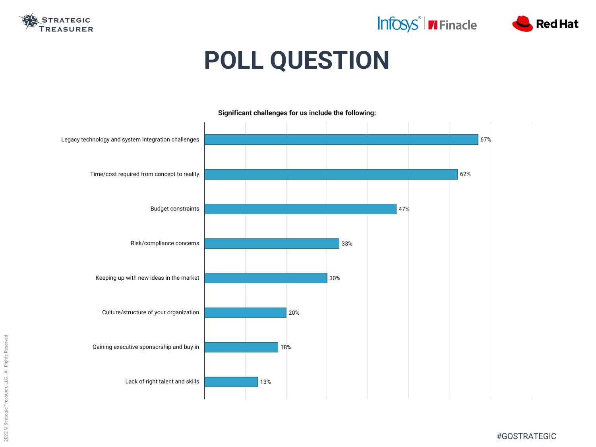## Infosys<sup>®</sup> | **7** Finacle



#GOSTRATEGIC



## **POLL QUESTION**

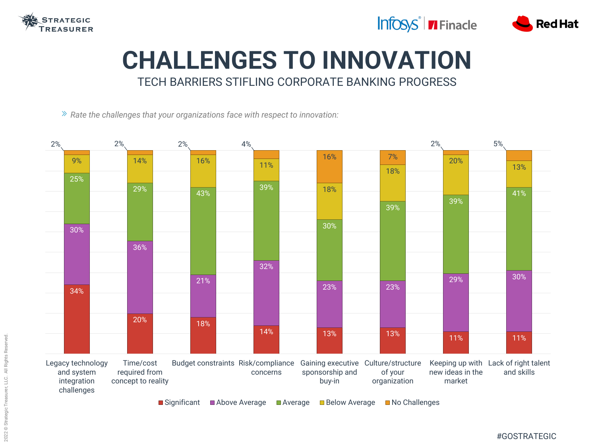

### **CHALLENGES TO INNOVATION** TECH BARRIERS STIFLING CORPORATE BANKING PROGRESS

*Rate the challenges that your organizations face with respect to innovation:*



2022 © Strategic Treasurer, LLC. All Rights Reserved. Rights Reserved  $\overline{\overline{z}}$ 2022 © Strategic Treasurer, LLC.



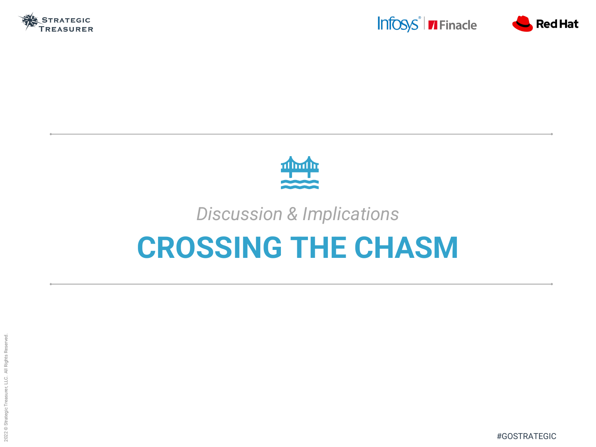







## *Discussion & Implications* **CROSSING THE CHASM**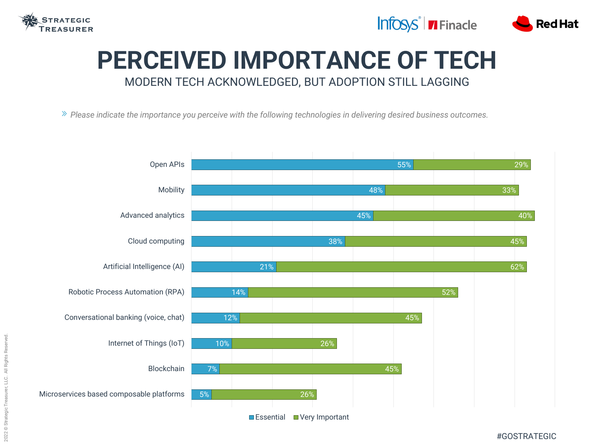

## **PERCEIVED IMPORTANCE OF TECH** MODERN TECH ACKNOWLEDGED, BUT ADOPTION STILL LAGGING

*Please indicate the importance you perceive with the following technologies in delivering desired business outcomes.*





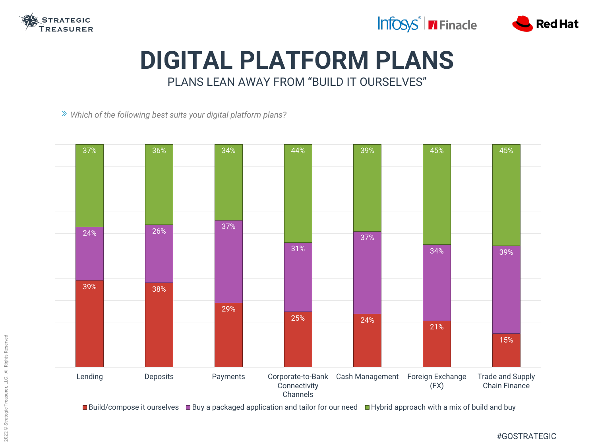

### **DIGITAL PLATFORM PLANS** PLANS LEAN AWAY FROM "BUILD IT OURSELVES"

*Which of the following best suits your digital platform plans?*





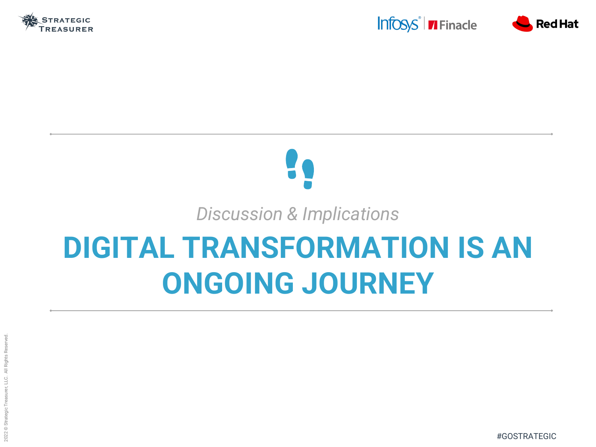

# *Discussion & Implications* **DIGITAL TRANSFORMATION IS AN ONGOING JOURNEY**



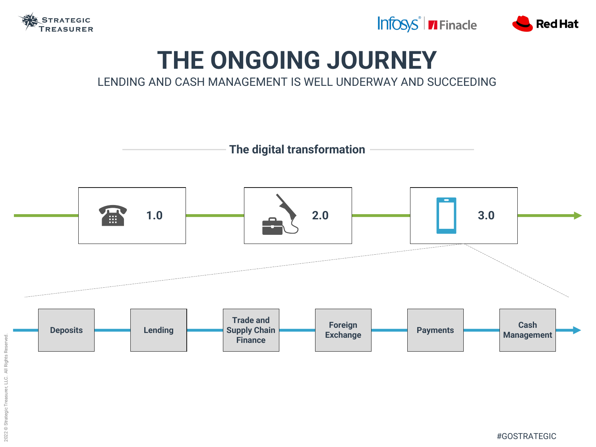

## **THE ONGOING JOURNEY** LENDING AND CASH MANAGEMENT IS WELL UNDERWAY AND SUCCEEDING







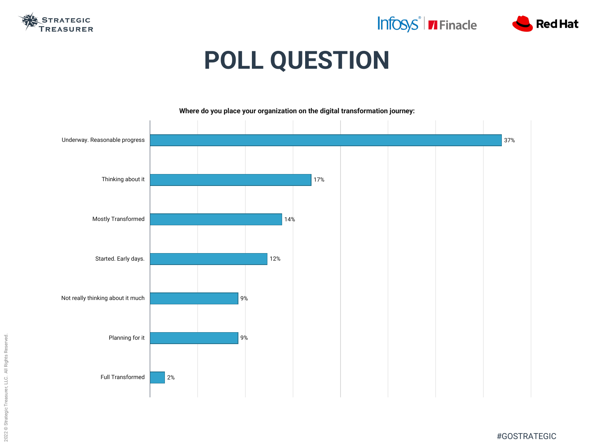## Infosys<sup>®</sup> | TFinacle



#GOSTRATEGIC



## **POLL QUESTION**

|  |  | 37% |
|--|--|-----|
|  |  |     |
|  |  |     |
|  |  |     |
|  |  |     |
|  |  |     |
|  |  |     |
|  |  |     |
|  |  |     |
|  |  |     |
|  |  |     |
|  |  |     |



#### **Where do you place your organization on the digital transformation journey:**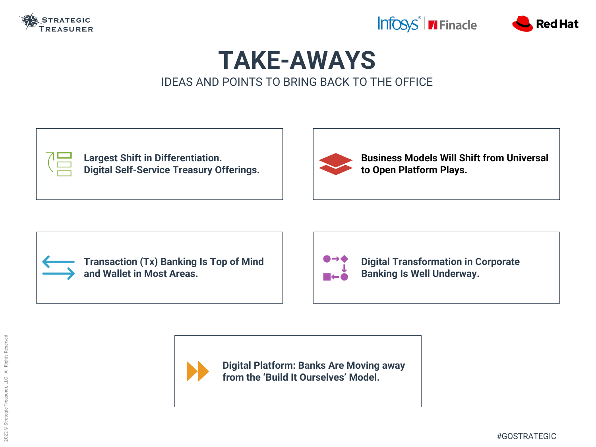

### **TAKE-AWAYS** IDEAS AND POINTS TO BRING BACK TO THE OFFICE



#### **Business Models Will Shift from Universal to Open Platform Plays.**





**Digital Transformation in Corporate Banking Is Well Underway.**

**Digital Platform: Banks Are Moving away from the 'Build It Ourselves' Model.**